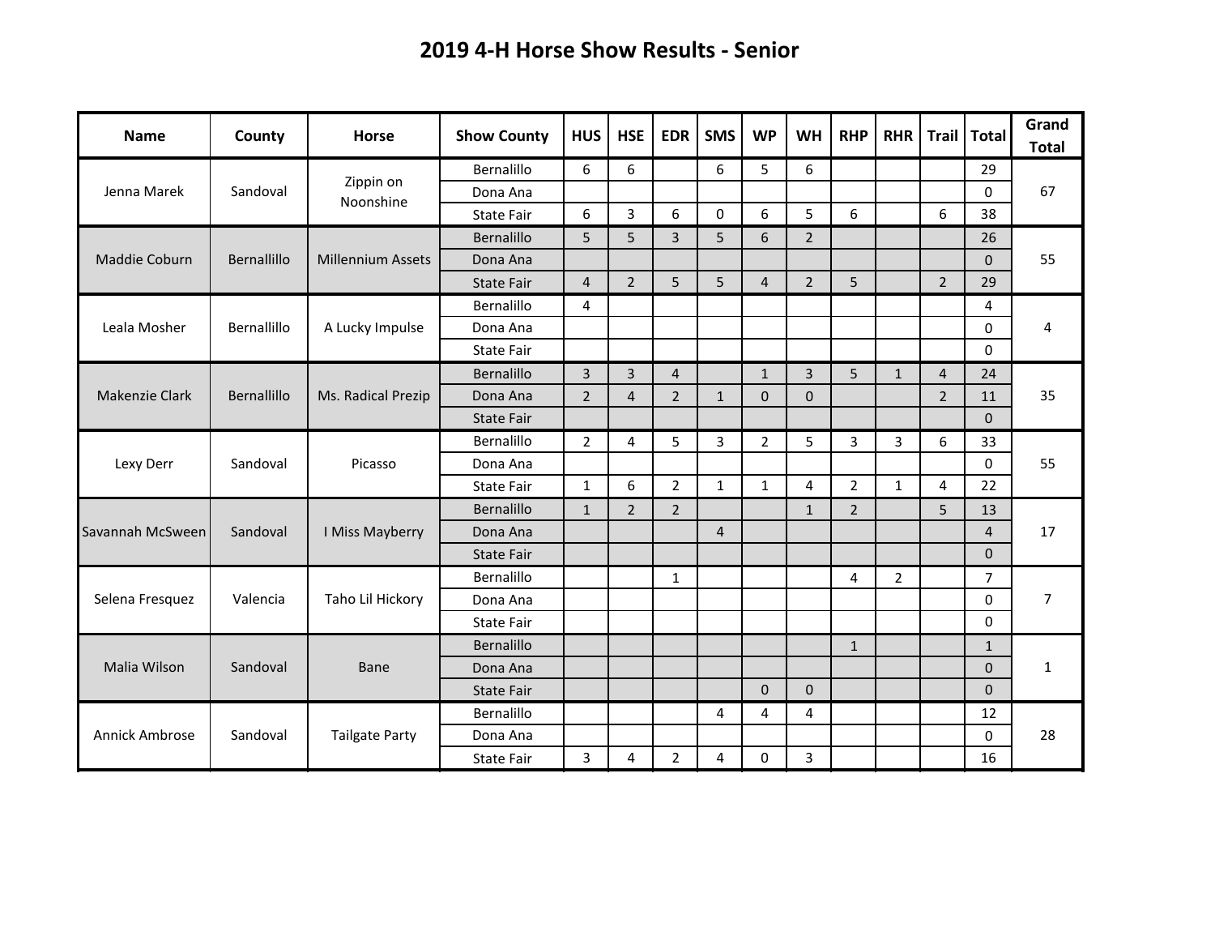## **2019 4-H Horse Show Results - Senior**

| <b>Name</b>      | County      | <b>Horse</b>             | <b>Show County</b> | <b>HUS</b>     | <b>HSE</b>     | <b>EDR</b>     | <b>SMS</b>     | <b>WP</b>      | <b>WH</b>      | <b>RHP</b>     | <b>RHR</b>     | Trail          | <b>Total</b>   | Grand<br><b>Total</b> |
|------------------|-------------|--------------------------|--------------------|----------------|----------------|----------------|----------------|----------------|----------------|----------------|----------------|----------------|----------------|-----------------------|
| Jenna Marek      | Sandoval    | Zippin on<br>Noonshine   | Bernalillo         | 6              | 6              |                | 6              | 5              | 6              |                |                |                | 29             | 67                    |
|                  |             |                          | Dona Ana           |                |                |                |                |                |                |                |                |                | 0              |                       |
|                  |             |                          | <b>State Fair</b>  | 6              | 3              | 6              | $\Omega$       | 6              | 5              | 6              |                | 6              | 38             |                       |
| Maddie Coburn    | Bernallillo | <b>Millennium Assets</b> | Bernalillo         | 5              | 5              | 3              | 5              | 6              | $\overline{2}$ |                |                |                | 26             | 55                    |
|                  |             |                          | Dona Ana           |                |                |                |                |                |                |                |                |                | $\Omega$       |                       |
|                  |             |                          | <b>State Fair</b>  | $\overline{4}$ | $\overline{2}$ | 5              | 5              | $\overline{4}$ | $\overline{2}$ | 5              |                | $\overline{2}$ | 29             |                       |
| Leala Mosher     | Bernallillo | A Lucky Impulse          | Bernalillo         | 4              |                |                |                |                |                |                |                |                | 4              | 4                     |
|                  |             |                          | Dona Ana           |                |                |                |                |                |                |                |                |                | 0              |                       |
|                  |             |                          | <b>State Fair</b>  |                |                |                |                |                |                |                |                |                | $\Omega$       |                       |
| Makenzie Clark   | Bernallillo | Ms. Radical Prezip       | Bernalillo         | $\overline{3}$ | 3              | $\overline{4}$ |                | $\mathbf{1}$   | $\overline{3}$ | 5              | $\mathbf{1}$   | $\overline{4}$ | 24             | 35                    |
|                  |             |                          | Dona Ana           | $\overline{2}$ | $\overline{4}$ | $\overline{2}$ | $\mathbf{1}$   | 0              | $\mathbf{0}$   |                |                | $\overline{2}$ | 11             |                       |
|                  |             |                          | State Fair         |                |                |                |                |                |                |                |                |                | $\Omega$       |                       |
|                  | Sandoval    | Picasso                  | Bernalillo         | $\overline{2}$ | 4              | 5              | 3              | $\overline{2}$ | 5              | 3              | 3              | 6              | 33             | 55                    |
| Lexy Derr        |             |                          | Dona Ana           |                |                |                |                |                |                |                |                |                | 0              |                       |
|                  |             |                          | <b>State Fair</b>  | $\mathbf{1}$   | 6              | $\overline{2}$ | $\mathbf{1}$   | $\mathbf{1}$   | 4              | 2              | $\mathbf{1}$   | 4              | 22             |                       |
|                  | Sandoval    | I Miss Mayberry          | Bernalillo         | $\mathbf{1}$   | $\overline{2}$ | $\overline{2}$ |                |                | $\mathbf{1}$   | $\overline{2}$ |                | 5              | 13             | 17                    |
| Savannah McSween |             |                          | Dona Ana           |                |                |                | $\overline{4}$ |                |                |                |                |                | $\overline{4}$ |                       |
|                  |             |                          | <b>State Fair</b>  |                |                |                |                |                |                |                |                |                | $\mathbf 0$    |                       |
| Selena Fresquez  | Valencia    | Taho Lil Hickory         | Bernalillo         |                |                | $\mathbf{1}$   |                |                |                | 4              | $\overline{2}$ |                | $\overline{7}$ | $\overline{7}$        |
|                  |             |                          | Dona Ana           |                |                |                |                |                |                |                |                |                | $\mathbf 0$    |                       |
|                  |             |                          | <b>State Fair</b>  |                |                |                |                |                |                |                |                |                | $\Omega$       |                       |
| Malia Wilson     | Sandoval    | Bane                     | Bernalillo         |                |                |                |                |                |                | $\mathbf{1}$   |                |                | $\mathbf{1}$   | $\mathbf{1}$          |
|                  |             |                          | Dona Ana           |                |                |                |                |                |                |                |                |                | $\Omega$       |                       |
|                  |             |                          | <b>State Fair</b>  |                |                |                |                | $\mathbf{0}$   | $\mathbf{0}$   |                |                |                | $\mathbf 0$    |                       |
|                  | Sandoval    | <b>Tailgate Party</b>    | Bernalillo         |                |                |                | 4              | 4              | 4              |                |                |                | 12             | 28                    |
| Annick Ambrose   |             |                          | Dona Ana           |                |                |                |                |                |                |                |                |                | 0              |                       |
|                  |             |                          | <b>State Fair</b>  | $\mathbf{3}$   | 4              | $\overline{2}$ | 4              | $\Omega$       | 3              |                |                |                | 16             |                       |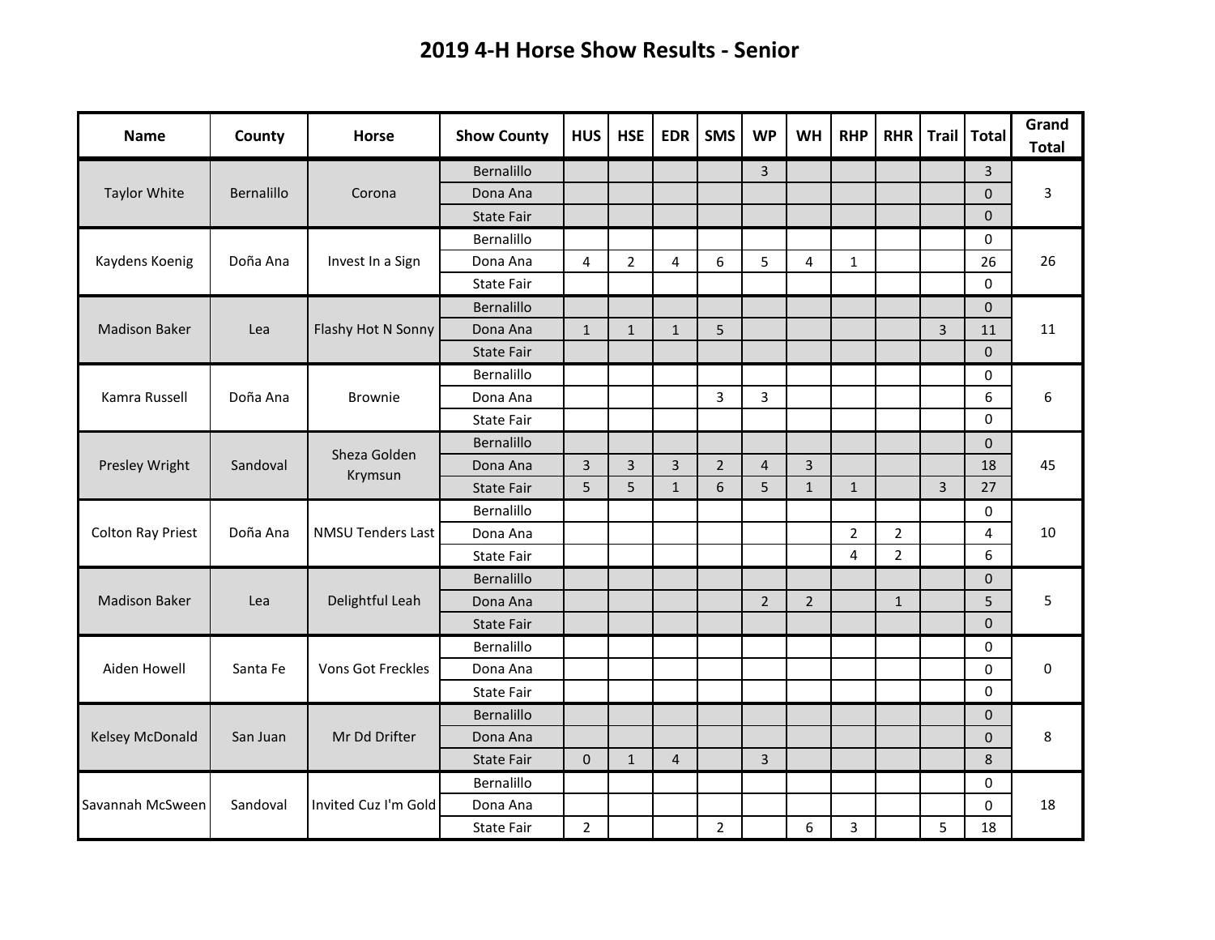## **2019 4-H Horse Show Results - Senior**

| <b>Name</b>              | County     | <b>Horse</b>             | <b>Show County</b> | <b>HUS</b>     | <b>HSE</b>     | <b>EDR</b>     | <b>SMS</b>     | <b>WP</b>               | <b>WH</b>      | <b>RHP</b>     | <b>RHR</b>     | Trail          | <b>Total</b> | Grand<br><b>Total</b> |
|--------------------------|------------|--------------------------|--------------------|----------------|----------------|----------------|----------------|-------------------------|----------------|----------------|----------------|----------------|--------------|-----------------------|
|                          | Bernalillo |                          | Bernalillo         |                |                |                |                | 3                       |                |                |                |                | 3            |                       |
| <b>Taylor White</b>      |            | Corona                   | Dona Ana           |                |                |                |                |                         |                |                |                |                | $\mathbf 0$  | 3                     |
|                          |            |                          | <b>State Fair</b>  |                |                |                |                |                         |                |                |                |                | $\Omega$     |                       |
| Kaydens Koenig           | Doña Ana   | Invest In a Sign         | Bernalillo         |                |                |                |                |                         |                |                |                |                | 0            | 26                    |
|                          |            |                          | Dona Ana           | 4              | $\overline{2}$ | 4              | 6              | 5                       | 4              | $\mathbf{1}$   |                |                | 26           |                       |
|                          |            |                          | <b>State Fair</b>  |                |                |                |                |                         |                |                |                |                | $\Omega$     |                       |
|                          | Lea        | Flashy Hot N Sonny       | Bernalillo         |                |                |                |                |                         |                |                |                |                | $\mathbf 0$  | 11                    |
| <b>Madison Baker</b>     |            |                          | Dona Ana           | $\mathbf{1}$   | $\mathbf{1}$   | $\mathbf{1}$   | 5              |                         |                |                |                | $\overline{3}$ | 11           |                       |
|                          |            |                          | <b>State Fair</b>  |                |                |                |                |                         |                |                |                |                | $\Omega$     |                       |
|                          | Doña Ana   | Brownie                  | Bernalillo         |                |                |                |                |                         |                |                |                |                | 0            | 6                     |
| Kamra Russell            |            |                          | Dona Ana           |                |                |                | $\overline{3}$ | 3                       |                |                |                |                | 6            |                       |
|                          |            |                          | <b>State Fair</b>  |                |                |                |                |                         |                |                |                |                | $\mathbf 0$  |                       |
| Presley Wright           | Sandoval   | Sheza Golden<br>Krymsun  | Bernalillo         |                |                |                |                |                         |                |                |                |                | $\mathbf{0}$ | 45                    |
|                          |            |                          | Dona Ana           | $\overline{3}$ | $\overline{3}$ | $\overline{3}$ | $\overline{2}$ | $\overline{\mathbf{4}}$ | $\overline{3}$ |                |                |                | 18           |                       |
|                          |            |                          | <b>State Fair</b>  | 5              | 5              | $\mathbf{1}$   | 6              | 5                       | $\mathbf{1}$   | $\mathbf{1}$   |                | $\overline{3}$ | 27           |                       |
|                          | Doña Ana   | <b>NMSU Tenders Last</b> | Bernalillo         |                |                |                |                |                         |                |                |                |                | 0            | 10                    |
| <b>Colton Ray Priest</b> |            |                          | Dona Ana           |                |                |                |                |                         |                | $\overline{2}$ | $\overline{2}$ |                | 4            |                       |
|                          |            |                          | <b>State Fair</b>  |                |                |                |                |                         |                | $\overline{4}$ | $\overline{2}$ |                | 6            |                       |
|                          | Lea        | Delightful Leah          | Bernalillo         |                |                |                |                |                         |                |                |                |                | $\mathbf{0}$ | 5                     |
| <b>Madison Baker</b>     |            |                          | Dona Ana           |                |                |                |                | $\overline{2}$          | $\overline{2}$ |                | $\mathbf{1}$   |                | 5            |                       |
|                          |            |                          | <b>State Fair</b>  |                |                |                |                |                         |                |                |                |                | $\mathbf 0$  |                       |
| Aiden Howell             | Santa Fe   | <b>Vons Got Freckles</b> | Bernalillo         |                |                |                |                |                         |                |                |                |                | 0            | 0                     |
|                          |            |                          | Dona Ana           |                |                |                |                |                         |                |                |                |                | 0            |                       |
|                          |            |                          | <b>State Fair</b>  |                |                |                |                |                         |                |                |                |                | 0            |                       |
| Kelsey McDonald          | San Juan   | Mr Dd Drifter            | Bernalillo         |                |                |                |                |                         |                |                |                |                | $\mathbf 0$  | 8                     |
|                          |            |                          | Dona Ana           |                |                |                |                |                         |                |                |                |                | $\pmb{0}$    |                       |
|                          |            |                          | <b>State Fair</b>  | $\mathbf{0}$   | $\mathbf{1}$   | $\overline{4}$ |                | 3                       |                |                |                |                | $\,8\,$      |                       |
|                          | Sandoval   | Invited Cuz I'm Gold     | Bernalillo         |                |                |                |                |                         |                |                |                |                | 0            |                       |
| Savannah McSween         |            |                          | Dona Ana           |                |                |                |                |                         |                |                |                |                | $\pmb{0}$    | 18                    |
|                          |            |                          | <b>State Fair</b>  | $2^{\circ}$    |                |                | $\overline{2}$ |                         | 6              | 3              |                | 5              | 18           |                       |